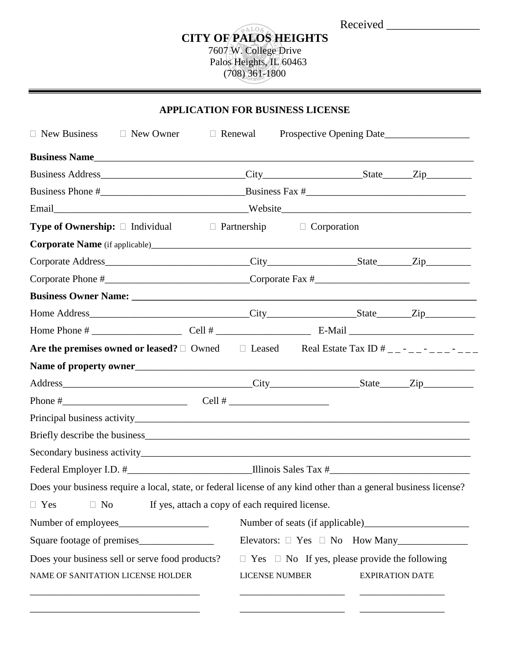| Received |  |  |
|----------|--|--|
|          |  |  |
|          |  |  |
|          |  |  |

## Received \_\_\_\_\_\_\_\_\_\_\_\_\_\_\_\_ **CITY OF PALOS HEIGHTS** 7607 W. College Drive Palos Heights, IL 60463 (708) 361-1800

**APPLICATION FOR BUSINESS LICENSES** 

| $\Box$ New Business                                                                                              | $\Box$ New Owner | $\Box$ Renewal                                  | Prospective Opening Date                                                    |                        |
|------------------------------------------------------------------------------------------------------------------|------------------|-------------------------------------------------|-----------------------------------------------------------------------------|------------------------|
|                                                                                                                  |                  |                                                 |                                                                             |                        |
|                                                                                                                  |                  |                                                 |                                                                             |                        |
|                                                                                                                  |                  |                                                 |                                                                             |                        |
|                                                                                                                  |                  |                                                 |                                                                             |                        |
| <b>Type of Ownership:</b> $\Box$ Individual $\Box$ Partnership                                                   |                  |                                                 | $\Box$ Corporation                                                          |                        |
|                                                                                                                  |                  |                                                 |                                                                             |                        |
|                                                                                                                  |                  |                                                 |                                                                             |                        |
|                                                                                                                  |                  |                                                 |                                                                             |                        |
|                                                                                                                  |                  |                                                 |                                                                             |                        |
|                                                                                                                  |                  |                                                 |                                                                             |                        |
|                                                                                                                  |                  |                                                 |                                                                             |                        |
| Are the premises owned or leased? $\Box$ Owned $\Box$ Leased Real Estate Tax ID $\#$ _ _ - _ _ _ _ _ _ _ _ _     |                  |                                                 |                                                                             |                        |
|                                                                                                                  |                  |                                                 |                                                                             |                        |
|                                                                                                                  |                  |                                                 |                                                                             |                        |
|                                                                                                                  |                  |                                                 |                                                                             |                        |
|                                                                                                                  |                  |                                                 |                                                                             |                        |
|                                                                                                                  |                  |                                                 |                                                                             |                        |
|                                                                                                                  |                  |                                                 |                                                                             |                        |
| Federal Employer I.D. #_________________________________Illinois Sales Tax #__________________________________   |                  |                                                 |                                                                             |                        |
| Does your business require a local, state, or federal license of any kind other than a general business license? |                  |                                                 |                                                                             |                        |
| $\Box$ No<br>$\Box$ Yes                                                                                          |                  | If yes, attach a copy of each required license. |                                                                             |                        |
|                                                                                                                  |                  |                                                 |                                                                             |                        |
| Square footage of premises                                                                                       |                  |                                                 | Elevators: $\Box$ Yes $\Box$ No How Many                                    |                        |
| Does your business sell or serve food products?<br>NAME OF SANITATION LICENSE HOLDER                             |                  |                                                 | $\Box$ Yes $\Box$ No If yes, please provide the following<br>LICENSE NUMBER | <b>EXPIRATION DATE</b> |

\_\_\_\_\_\_\_\_\_\_\_\_\_\_\_\_\_\_\_\_\_\_\_\_\_\_\_\_\_\_\_\_\_\_ \_\_\_\_\_\_\_\_\_\_\_\_\_\_\_\_\_\_\_\_\_ \_\_\_\_\_\_\_\_\_\_\_\_\_\_\_\_\_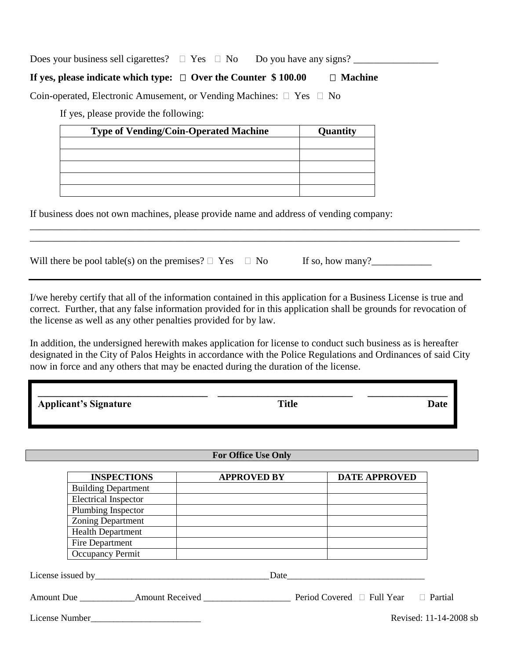Does your business sell cigarettes?  $\Box$  Yes  $\Box$  No Do you have any signs?

## **If yes, please indicate which type:**  $\Box$  Over the Counter  $\$ 100.00$   $\Box$  Machine

Coin-operated, Electronic Amusement, or Vending Machines:  $\Box$  Yes  $\Box$  No

If yes, please provide the following:

| <b>Type of Vending/Coin-Operated Machine</b> | Quantity |
|----------------------------------------------|----------|
|                                              |          |
|                                              |          |
|                                              |          |
|                                              |          |
|                                              |          |

If business does not own machines, please provide name and address of vending company:

Will there be pool table(s) on the premises? Yes No If so, how many?\_\_\_\_\_\_\_\_\_\_\_\_

I/we hereby certify that all of the information contained in this application for a Business License is true and correct. Further, that any false information provided for in this application shall be grounds for revocation of the license as well as any other penalties provided for by law.

\_\_\_\_\_\_\_\_\_\_\_\_\_\_\_\_\_\_\_\_\_\_\_\_\_\_\_\_\_\_\_\_\_\_\_\_\_\_\_\_\_\_\_\_\_\_\_\_\_\_\_\_\_\_\_\_\_\_\_\_\_\_\_\_\_\_\_\_\_\_\_\_\_\_\_\_\_\_\_\_\_\_\_\_\_\_\_\_\_\_ \_\_\_\_\_\_\_\_\_\_\_\_\_\_\_\_\_\_\_\_\_\_\_\_\_\_\_\_\_\_\_\_\_\_\_\_\_\_\_\_\_\_\_\_\_\_\_\_\_\_\_\_\_\_\_\_\_\_\_\_\_\_\_\_\_\_\_\_\_\_\_\_\_\_\_\_\_\_\_\_\_\_\_\_\_\_

In addition, the undersigned herewith makes application for license to conduct such business as is hereafter designated in the City of Palos Heights in accordance with the Police Regulations and Ordinances of said City now in force and any others that may be enacted during the duration of the license.

| <b>Applicant's Signature</b> | <b>Title</b> | Date |
|------------------------------|--------------|------|

### **For Office Use Only**

| <b>INSPECTIONS</b>          | <b>APPROVED BY</b> | <b>DATE APPROVED</b> |
|-----------------------------|--------------------|----------------------|
| <b>Building Department</b>  |                    |                      |
| <b>Electrical Inspector</b> |                    |                      |
| Plumbing Inspector          |                    |                      |
| <b>Zoning Department</b>    |                    |                      |
| <b>Health Department</b>    |                    |                      |
| Fire Department             |                    |                      |
| Occupancy Permit            |                    |                      |
| License issued by           | Date               |                      |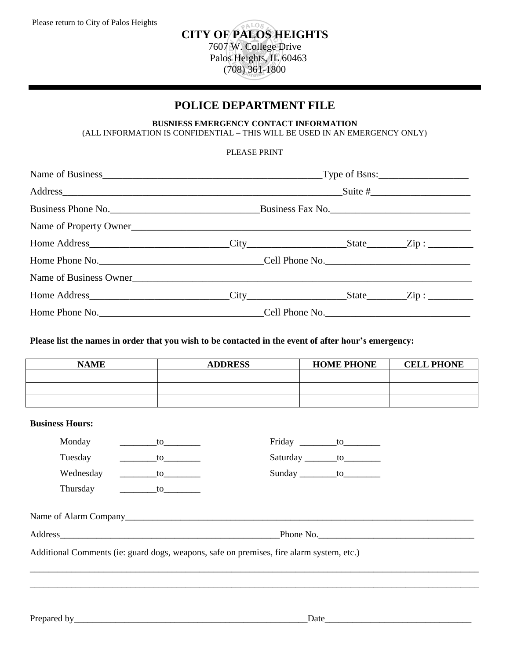## ALO<sub>S</sub> **CITY OF PALOS HEIGHTS** 7607 W. College Drive Palos Heights, IL 60463 (708) 361-1800

# **POLICE DEPARTMENT FILE**

#### **BUSNIESS EMERGENCY CONTACT INFORMATION** (ALL INFORMATION IS CONFIDENTIAL – THIS WILL BE USED IN AN EMERGENCY ONLY)

#### PLEASE PRINT

| Address Suite #        |  |  |  |
|------------------------|--|--|--|
|                        |  |  |  |
| Name of Property Owner |  |  |  |
|                        |  |  |  |
|                        |  |  |  |
| Name of Business Owner |  |  |  |
|                        |  |  |  |
|                        |  |  |  |

#### **Please list the names in order that you wish to be contacted in the event of after hour's emergency:**

| <b>NAME</b> | <b>ADDRESS</b> | <b>HOME PHONE</b> | <b>CELL PHONE</b> |
|-------------|----------------|-------------------|-------------------|
|             |                |                   |                   |
|             |                |                   |                   |
|             |                |                   |                   |

#### **Business Hours:**

| Monday    | to the state of the state of the state of the state of the state of the state of the state of the state of the |                                                                                          | Friday to to                  |           |
|-----------|----------------------------------------------------------------------------------------------------------------|------------------------------------------------------------------------------------------|-------------------------------|-----------|
| Tuesday   | $\overline{\phantom{a}}$ to $\overline{\phantom{a}}$                                                           |                                                                                          | Saturday ________to__________ |           |
| Wednesday | $\sim$ to $\sim$                                                                                               |                                                                                          | Sunday _________to___________ |           |
|           |                                                                                                                |                                                                                          |                               |           |
|           |                                                                                                                |                                                                                          |                               | Phone No. |
|           |                                                                                                                | Additional Comments (ie: guard dogs, weapons, safe on premises, fire alarm system, etc.) |                               |           |
|           |                                                                                                                |                                                                                          |                               |           |
|           |                                                                                                                |                                                                                          |                               |           |